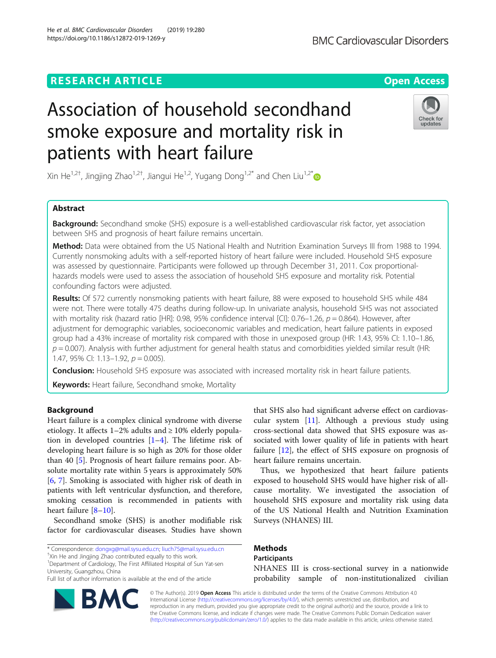# **RESEARCH ARTICLE EXECUTE: Open Access**

# Association of household secondhand smoke exposure and mortality risk in patients with heart failure

Xin He<sup>1,2†</sup>, Jingjing Zhao<sup>1,2†</sup>, Jiangui He<sup>1,2</sup>, Yugang Dong<sup>1,2[\\*](http://orcid.org/0000-0002-9818-0454)</sup> and Chen Liu<sup>1,2\*</sup>

# Abstract

**Background:** Secondhand smoke (SHS) exposure is a well-established cardiovascular risk factor, yet association between SHS and prognosis of heart failure remains uncertain.

Method: Data were obtained from the US National Health and Nutrition Examination Surveys III from 1988 to 1994. Currently nonsmoking adults with a self-reported history of heart failure were included. Household SHS exposure was assessed by questionnaire. Participants were followed up through December 31, 2011. Cox proportionalhazards models were used to assess the association of household SHS exposure and mortality risk. Potential confounding factors were adjusted.

Results: Of 572 currently nonsmoking patients with heart failure, 88 were exposed to household SHS while 484 were not. There were totally 475 deaths during follow-up. In univariate analysis, household SHS was not associated with mortality risk (hazard ratio [HR]: 0.98, 95% confidence interval [CI]: 0.76–1.26,  $p = 0.864$ ). However, after adjustment for demographic variables, socioeconomic variables and medication, heart failure patients in exposed group had a 43% increase of mortality risk compared with those in unexposed group (HR: 1.43, 95% CI: 1.10–1.86,  $p = 0.007$ ). Analysis with further adjustment for general health status and comorbidities yielded similar result (HR: 1.47, 95% CI: 1.13-1.92,  $p = 0.005$ ).

**Conclusion:** Household SHS exposure was associated with increased mortality risk in heart failure patients.

Keywords: Heart failure, Secondhand smoke, Mortality

# **Background**

Heart failure is a complex clinical syndrome with diverse etiology. It affects  $1-2\%$  adults and  $\geq 10\%$  elderly population in developed countries [\[1](#page-5-0)–[4](#page-5-0)]. The lifetime risk of developing heart failure is so high as 20% for those older than 40 [\[5](#page-5-0)]. Prognosis of heart failure remains poor. Absolute mortality rate within 5 years is approximately 50% [[6,](#page-5-0) [7](#page-5-0)]. Smoking is associated with higher risk of death in patients with left ventricular dysfunction, and therefore, smoking cessation is recommended in patients with heart failure [\[8](#page-5-0)–[10](#page-5-0)].

Secondhand smoke (SHS) is another modifiable risk factor for cardiovascular diseases. Studies have shown

\* Correspondence: [dongxg@mail.sysu.edu.cn](mailto:dongxg@mail.sysu.edu.cn); [liuch75@mail.sysu.edu.cn](mailto:liuch75@mail.sysu.edu.cn) †

<sup>+</sup>Xin He and Jingjing Zhao contributed equally to this work.

<sup>1</sup>Department of Cardiology, The First Affiliated Hospital of Sun Yat-sen University, Guangzhou, China

Full list of author information is available at the end of the article

that SHS also had significant adverse effect on cardiovascular system [\[11](#page-5-0)]. Although a previous study using cross-sectional data showed that SHS exposure was associated with lower quality of life in patients with heart failure [\[12](#page-5-0)], the effect of SHS exposure on prognosis of heart failure remains uncertain.

Thus, we hypothesized that heart failure patients exposed to household SHS would have higher risk of allcause mortality. We investigated the association of household SHS exposure and mortality risk using data of the US National Health and Nutrition Examination Surveys (NHANES) III.

# Methods

**Participants** 

NHANES III is cross-sectional survey in a nationwide probability sample of non-institutionalized civilian

© The Author(s). 2019 **Open Access** This article is distributed under the terms of the Creative Commons Attribution 4.0 International License [\(http://creativecommons.org/licenses/by/4.0/](http://creativecommons.org/licenses/by/4.0/)), which permits unrestricted use, distribution, and reproduction in any medium, provided you give appropriate credit to the original author(s) and the source, provide a link to the Creative Commons license, and indicate if changes were made. The Creative Commons Public Domain Dedication waiver [\(http://creativecommons.org/publicdomain/zero/1.0/](http://creativecommons.org/publicdomain/zero/1.0/)) applies to the data made available in this article, unless otherwise stated.



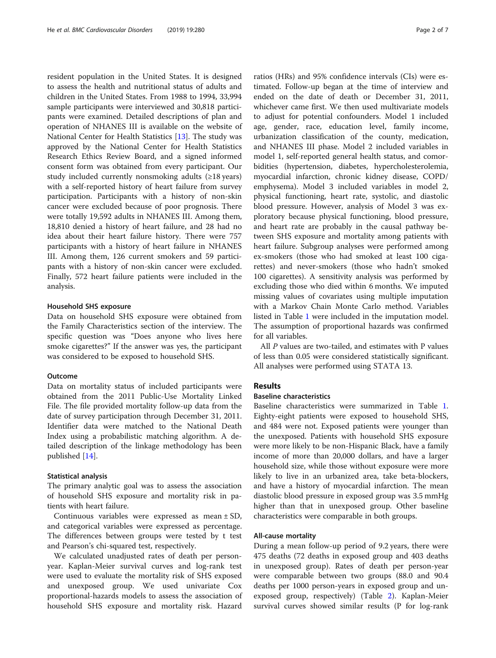resident population in the United States. It is designed to assess the health and nutritional status of adults and children in the United States. From 1988 to 1994, 33,994 sample participants were interviewed and 30,818 participants were examined. Detailed descriptions of plan and operation of NHANES III is available on the website of National Center for Health Statistics [\[13\]](#page-5-0). The study was approved by the National Center for Health Statistics Research Ethics Review Board, and a signed informed consent form was obtained from every participant. Our study included currently nonsmoking adults  $(≥18 \text{ years})$ with a self-reported history of heart failure from survey participation. Participants with a history of non-skin cancer were excluded because of poor prognosis. There were totally 19,592 adults in NHANES III. Among them, 18,810 denied a history of heart failure, and 28 had no idea about their heart failure history. There were 757 participants with a history of heart failure in NHANES III. Among them, 126 current smokers and 59 participants with a history of non-skin cancer were excluded. Finally, 572 heart failure patients were included in the analysis.

#### Household SHS exposure

Data on household SHS exposure were obtained from the Family Characteristics section of the interview. The specific question was "Does anyone who lives here smoke cigarettes?" If the answer was yes, the participant was considered to be exposed to household SHS.

## Outcome

Data on mortality status of included participants were obtained from the 2011 Public-Use Mortality Linked File. The file provided mortality follow-up data from the date of survey participation through December 31, 2011. Identifier data were matched to the National Death Index using a probabilistic matching algorithm. A detailed description of the linkage methodology has been published [\[14](#page-6-0)].

#### Statistical analysis

The primary analytic goal was to assess the association of household SHS exposure and mortality risk in patients with heart failure.

Continuous variables were expressed as mean ± SD, and categorical variables were expressed as percentage. The differences between groups were tested by t test and Pearson's chi-squared test, respectively.

We calculated unadjusted rates of death per personyear. Kaplan-Meier survival curves and log-rank test were used to evaluate the mortality risk of SHS exposed and unexposed group. We used univariate Cox proportional-hazards models to assess the association of household SHS exposure and mortality risk. Hazard

ratios (HRs) and 95% confidence intervals (CIs) were estimated. Follow-up began at the time of interview and ended on the date of death or December 31, 2011, whichever came first. We then used multivariate models to adjust for potential confounders. Model 1 included age, gender, race, education level, family income, urbanization classification of the county, medication, and NHANES III phase. Model 2 included variables in model 1, self-reported general health status, and comorbidities (hypertension, diabetes, hypercholesterolemia, myocardial infarction, chronic kidney disease, COPD/ emphysema). Model 3 included variables in model 2, physical functioning, heart rate, systolic, and diastolic blood pressure. However, analysis of Model 3 was exploratory because physical functioning, blood pressure, and heart rate are probably in the causal pathway between SHS exposure and mortality among patients with heart failure. Subgroup analyses were performed among ex-smokers (those who had smoked at least 100 cigarettes) and never-smokers (those who hadn't smoked 100 cigarettes). A sensitivity analysis was performed by excluding those who died within 6 months. We imputed missing values of covariates using multiple imputation with a Markov Chain Monte Carlo method. Variables listed in Table [1](#page-2-0) were included in the imputation model. The assumption of proportional hazards was confirmed for all variables.

All P values are two-tailed, and estimates with P values of less than 0.05 were considered statistically significant. All analyses were performed using STATA 13.

# Results

# Baseline characteristics

Baseline characteristics were summarized in Table [1](#page-2-0). Eighty-eight patients were exposed to household SHS, and 484 were not. Exposed patients were younger than the unexposed. Patients with household SHS exposure were more likely to be non-Hispanic Black, have a family income of more than 20,000 dollars, and have a larger household size, while those without exposure were more likely to live in an urbanized area, take beta-blockers, and have a history of myocardial infarction. The mean diastolic blood pressure in exposed group was 3.5 mmHg higher than that in unexposed group. Other baseline characteristics were comparable in both groups.

#### All-cause mortality

During a mean follow-up period of 9.2 years, there were 475 deaths (72 deaths in exposed group and 403 deaths in unexposed group). Rates of death per person-year were comparable between two groups (88.0 and 90.4 deaths per 1000 person-years in exposed group and unexposed group, respectively) (Table [2\)](#page-3-0). Kaplan-Meier survival curves showed similar results (P for log-rank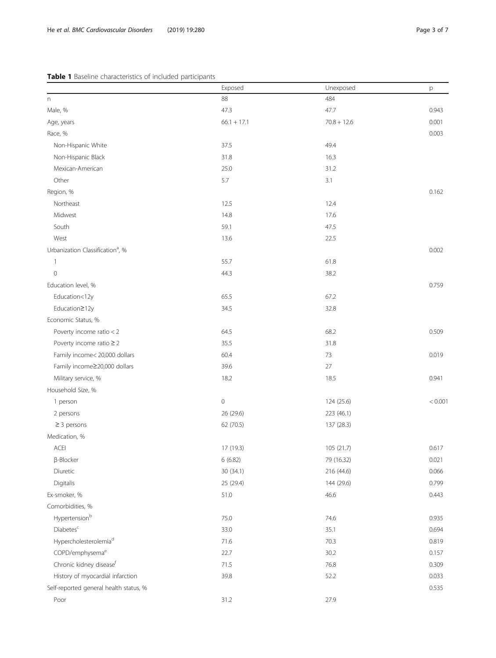## <span id="page-2-0"></span>Table 1 Baseline characteristics of included participants

|                                              | Exposed       | Unexposed     | р       |
|----------------------------------------------|---------------|---------------|---------|
| $\boldsymbol{\mathsf{n}}$                    | 88            | 484           |         |
| Male, %                                      | 47.3          | 47.7          | 0.943   |
| Age, years                                   | $66.1 + 17.1$ | $70.8 + 12.6$ | 0.001   |
| Race, %                                      |               |               | 0.003   |
| Non-Hispanic White                           | 37.5          | 49.4          |         |
| Non-Hispanic Black                           | 31.8          | 16.3          |         |
| Mexican-American                             | 25.0          | 31.2          |         |
| Other                                        | 5.7           | 3.1           |         |
| Region, %                                    |               |               | 0.162   |
| Northeast                                    | 12.5          | 12.4          |         |
| Midwest                                      | 14.8          | 17.6          |         |
| South                                        | 59.1          | 47.5          |         |
| West                                         | 13.6          | 22.5          |         |
| Urbanization Classification <sup>a</sup> , % |               |               | 0.002   |
| $\mathbf{1}$                                 | 55.7          | 61.8          |         |
| $\mathbb O$                                  | 44.3          | 38.2          |         |
| Education level, %                           |               |               | 0.759   |
| Education<12y                                | 65.5          | 67.2          |         |
| Education≥12y                                | 34.5          | 32.8          |         |
| Economic Status, %                           |               |               |         |
| Poverty income ratio < 2                     | 64.5          | 68.2          | 0.509   |
| Poverty income ratio $\geq 2$                | 35.5          | 31.8          |         |
| Family income< 20,000 dollars                | 60.4          | 73            | 0.019   |
| Family income≥20,000 dollars                 | 39.6          | $27\,$        |         |
| Military service, %                          | 18.2          | 18.5          | 0.941   |
| Household Size, %                            |               |               |         |
| 1 person                                     | $\circ$       | 124 (25.6)    | < 0.001 |
| 2 persons                                    | 26 (29.6)     | 223 (46.1)    |         |
| $\geq$ 3 persons                             | 62 (70.5)     | 137 (28.3)    |         |
| Medication, %                                |               |               |         |
| ACEI                                         | 17 (19.3)     | 105 (21.7)    | 0.617   |
| β-Blocker                                    | 6(6.82)       | 79 (16.32)    | 0.021   |
| Diuretic                                     | 30 (34.1)     | 216 (44.6)    | 0.066   |
| Digitalis                                    | 25 (29.4)     | 144 (29.6)    | 0.799   |
| Ex-smoker, %                                 | 51.0          | 46.6          | 0.443   |
| Comorbidities, %                             |               |               |         |
| Hypertensionb                                | 75.0          | 74.6          | 0.935   |
| Diabetes <sup>c</sup>                        | 33.0          | 35.1          | 0.694   |
| Hypercholesterolemiad                        | 71.6          | 70.3          | 0.819   |
| COPD/emphysema <sup>e</sup>                  | 22.7          | 30.2          | 0.157   |
| Chronic kidney diseasef                      | 71.5          | 76.8          | 0.309   |
| History of myocardial infarction             | 39.8          | 52.2          | 0.033   |
| Self-reported general health status, %       |               |               | 0.535   |
| Poor                                         | 31.2          | 27.9          |         |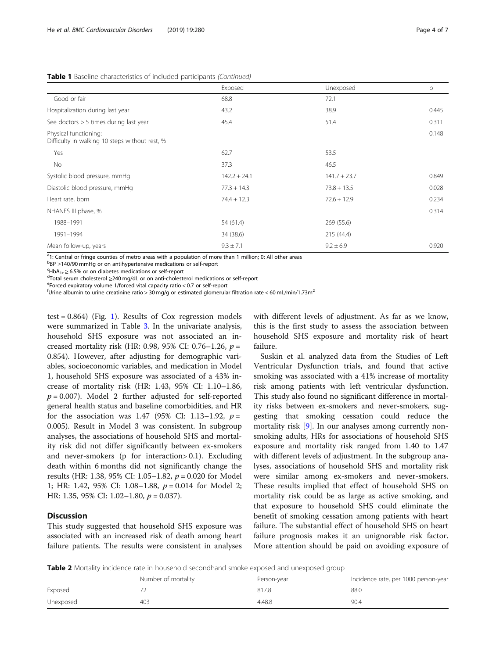|                                                                         | Exposed        | Unexposed      | p     |
|-------------------------------------------------------------------------|----------------|----------------|-------|
| Good or fair                                                            | 68.8           | 72.1           |       |
| Hospitalization during last year                                        | 43.2           | 38.9           | 0.445 |
| See doctors $> 5$ times during last year                                | 45.4           | 51.4           | 0.311 |
| Physical functioning:<br>Difficulty in walking 10 steps without rest, % |                |                | 0.148 |
| Yes                                                                     | 62.7           | 53.5           |       |
| No                                                                      | 37.3           | 46.5           |       |
| Systolic blood pressure, mmHg                                           | $142.2 + 24.1$ | $141.7 + 23.7$ | 0.849 |
| Diastolic blood pressure, mmHg                                          | $77.3 + 14.3$  | $73.8 + 13.5$  | 0.028 |
| Heart rate, bpm                                                         | $74.4 + 12.3$  | $72.6 + 12.9$  | 0.234 |
| NHANES III phase, %                                                     |                |                | 0.314 |
| 1988-1991                                                               | 54 (61.4)      | 269 (55.6)     |       |
| 1991-1994                                                               | 34 (38.6)      | 215 (44.4)     |       |
| Mean follow-up, years                                                   | $9.3 \pm 7.1$  | $9.2 \pm 6.9$  | 0.920 |

#### <span id="page-3-0"></span>Table 1 Baseline characteristics of included participants (Continued)

<sup>a</sup>1: Central or fringe counties of metro areas with a population of more than 1 million; 0: All other areas

 ${}^{b}BP \geq$ 140/90 mmHg or on antihypertensive medications or self-report<br>SHbA  $\rightarrow$  6.5% or on diabetes medications or self-report

 ${}^{\text{c}}$ HbA<sub>1c</sub>  $\geq$  6.5% or on diabetes medications or self-report

Total serum cholesterol <sup>≥</sup>240 mg/dL or on anti-cholesterol medications or self-report <sup>e</sup>

Forced expiratory volume 1/forced vital capacity ratio < 0.7 or self-report

 $^{\mathsf{f}}$ Urine albumin to urine creatinine ratio > 30 mg/g or estimated glomerular filtration rate < 60 mL/min/1.73m $^2$ 

test =  $0.864$ ) (Fig. [1\)](#page-4-0). Results of Cox regression models were summarized in Table [3](#page-4-0). In the univariate analysis, household SHS exposure was not associated an increased mortality risk (HR: 0.98, 95% CI: 0.76–1.26,  $p =$ 0.854). However, after adjusting for demographic variables, socioeconomic variables, and medication in Model 1, household SHS exposure was associated of a 43% increase of mortality risk (HR: 1.43, 95% CI: 1.10–1.86,  $p = 0.007$ ). Model 2 further adjusted for self-reported general health status and baseline comorbidities, and HR for the association was 1.47 (95% CI: 1.13–1.92,  $p =$ 0.005). Result in Model 3 was consistent. In subgroup analyses, the associations of household SHS and mortality risk did not differ significantly between ex-smokers and never-smokers (p for interaction> 0.1). Excluding death within 6 months did not significantly change the results (HR: 1.38, 95% CI: 1.05–1.82, p = 0.020 for Model 1; HR: 1.42, 95% CI: 1.08–1.88, p = 0.014 for Model 2; HR: 1.35, 95% CI: 1.02–1.80,  $p = 0.037$ ).

## **Discussion**

This study suggested that household SHS exposure was associated with an increased risk of death among heart failure patients. The results were consistent in analyses with different levels of adjustment. As far as we know, this is the first study to assess the association between household SHS exposure and mortality risk of heart failure.

Suskin et al. analyzed data from the Studies of Left Ventricular Dysfunction trials, and found that active smoking was associated with a 41% increase of mortality risk among patients with left ventricular dysfunction. This study also found no significant difference in mortality risks between ex-smokers and never-smokers, suggesting that smoking cessation could reduce the mortality risk [\[9\]](#page-5-0). In our analyses among currently nonsmoking adults, HRs for associations of household SHS exposure and mortality risk ranged from 1.40 to 1.47 with different levels of adjustment. In the subgroup analyses, associations of household SHS and mortality risk were similar among ex-smokers and never-smokers. These results implied that effect of household SHS on mortality risk could be as large as active smoking, and that exposure to household SHS could eliminate the benefit of smoking cessation among patients with heart failure. The substantial effect of household SHS on heart failure prognosis makes it an unignorable risk factor. More attention should be paid on avoiding exposure of

Table 2 Mortality incidence rate in household secondhand smoke exposed and unexposed group

|           |                     | .           |                                      |
|-----------|---------------------|-------------|--------------------------------------|
|           | Number of mortality | Person-year | Incidence rate, per 1000 person-year |
| Exposed   |                     | 817.8       | 88.0                                 |
| Unexposed | 403                 | 4.48.8      | 90.4                                 |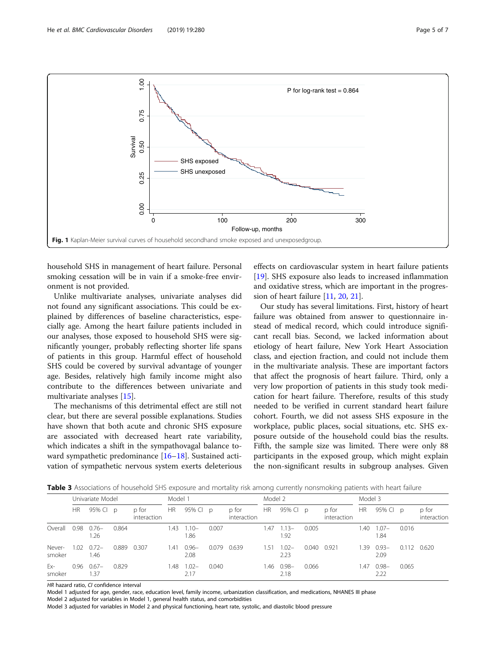<span id="page-4-0"></span>

household SHS in management of heart failure. Personal smoking cessation will be in vain if a smoke-free environment is not provided.

Unlike multivariate analyses, univariate analyses did not found any significant associations. This could be explained by differences of baseline characteristics, especially age. Among the heart failure patients included in our analyses, those exposed to household SHS were significantly younger, probably reflecting shorter life spans of patients in this group. Harmful effect of household SHS could be covered by survival advantage of younger age. Besides, relatively high family income might also contribute to the differences between univariate and multivariate analyses [[15\]](#page-6-0).

The mechanisms of this detrimental effect are still not clear, but there are several possible explanations. Studies have shown that both acute and chronic SHS exposure are associated with decreased heart rate variability, which indicates a shift in the sympathovagal balance toward sympathetic predominance [\[16](#page-6-0)–[18\]](#page-6-0). Sustained activation of sympathetic nervous system exerts deleterious

effects on cardiovascular system in heart failure patients [[19\]](#page-6-0). SHS exposure also leads to increased inflammation and oxidative stress, which are important in the progression of heart failure [\[11](#page-5-0), [20,](#page-6-0) [21\]](#page-6-0).

Our study has several limitations. First, history of heart failure was obtained from answer to questionnaire instead of medical record, which could introduce significant recall bias. Second, we lacked information about etiology of heart failure, New York Heart Association class, and ejection fraction, and could not include them in the multivariate analysis. These are important factors that affect the prognosis of heart failure. Third, only a very low proportion of patients in this study took medication for heart failure. Therefore, results of this study needed to be verified in current standard heart failure cohort. Fourth, we did not assess SHS exposure in the workplace, public places, social situations, etc. SHS exposure outside of the household could bias the results. Fifth, the sample size was limited. There were only 88 participants in the exposed group, which might explain the non-significant results in subgroup analyses. Given

Table 3 Associations of household SHS exposure and mortality risk among currently nonsmoking patients with heart failure

|                  | Univariate Model |                  |       | Model 1              |           |                  | Model 2 |                      |           |                  | Model 3 |                      |           |                  |       |                      |
|------------------|------------------|------------------|-------|----------------------|-----------|------------------|---------|----------------------|-----------|------------------|---------|----------------------|-----------|------------------|-------|----------------------|
|                  | <b>HR</b>        | 95% Cl p         |       | p for<br>interaction | <b>HR</b> | 95% CI           | $\Box$  | p for<br>interaction | <b>HR</b> | 95% CI           | D       | p for<br>interaction | <b>HR</b> | 95% Cl p         |       | p for<br>interaction |
| Overall          | 0.98             | $0.76 -$<br>1.26 | 0.864 |                      | 1.43      | $1.10-$<br>1.86  | 0.007   |                      | .47       | $1.13-$<br>1.92  | 0.005   |                      | .40       | $1.07 -$<br>1.84 | 0.016 |                      |
| Never-<br>smoker | 1.02             | $0.72 -$<br>1.46 | 0.889 | 0.307                | 1.41      | $0.96-$<br>2.08  | 0.079   | 0.639                | -51       | $1.02 -$<br>2.23 | 0.040   | 0.921                | -39       | $0.93 -$<br>2.09 |       | $0.112 \quad 0.620$  |
| Ex-<br>smoker    | 0.96             | $0.67 -$<br>1.37 | 0.829 |                      | l 48.     | $1.02 -$<br>2.17 | 0.040   |                      | .46       | $0.98 -$<br>2.18 | 0.066   |                      | 1.47      | $0.98 -$<br>2.22 | 0.065 |                      |

HR hazard ratio, CI confidence interval

Model 1 adjusted for age, gender, race, education level, family income, urbanization classification, and medications, NHANES III phase

Model 2 adjusted for variables in Model 1, general health status, and comorbidities

Model 3 adjusted for variables in Model 2 and physical functioning, heart rate, systolic, and diastolic blood pressure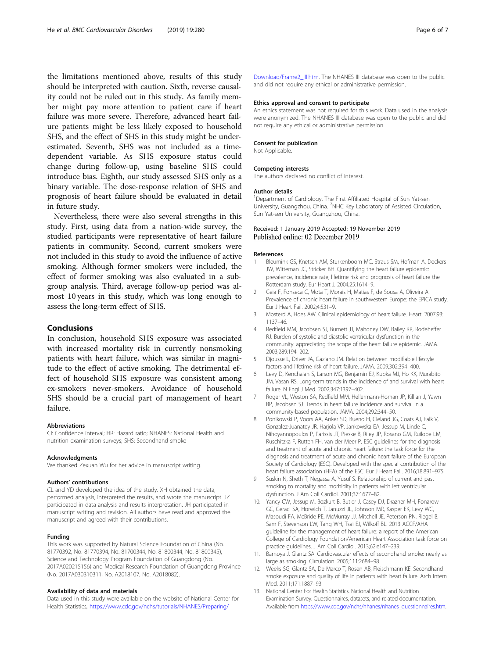<span id="page-5-0"></span>the limitations mentioned above, results of this study should be interpreted with caution. Sixth, reverse causality could not be ruled out in this study. As family member might pay more attention to patient care if heart failure was more severe. Therefore, advanced heart failure patients might be less likely exposed to household SHS, and the effect of SHS in this study might be underestimated. Seventh, SHS was not included as a timedependent variable. As SHS exposure status could change during follow-up, using baseline SHS could introduce bias. Eighth, our study assessed SHS only as a binary variable. The dose-response relation of SHS and prognosis of heart failure should be evaluated in detail in future study.

Nevertheless, there were also several strengths in this study. First, using data from a nation-wide survey, the studied participants were representative of heart failure patients in community. Second, current smokers were not included in this study to avoid the influence of active smoking. Although former smokers were included, the effect of former smoking was also evaluated in a subgroup analysis. Third, average follow-up period was almost 10 years in this study, which was long enough to assess the long-term effect of SHS.

#### Conclusions

In conclusion, household SHS exposure was associated with increased mortality risk in currently nonsmoking patients with heart failure, which was similar in magnitude to the effect of active smoking. The detrimental effect of household SHS exposure was consistent among ex-smokers never-smokers. Avoidance of household SHS should be a crucial part of management of heart failure.

#### Abbreviations

CI: Confidence interval; HR: Hazard ratio; NHANES: National Health and nutrition examination surveys; SHS: Secondhand smoke

#### Acknowledgments

We thanked Zexuan Wu for her advice in manuscript writing.

#### Authors' contributions

CL and YD developed the idea of the study. XH obtained the data, performed analysis, interpreted the results, and wrote the manuscript. JZ participated in data analysis and results interpretation. JH participated in manuscript writing and revision. All authors have read and approved the manuscript and agreed with their contributions.

#### Funding

This work was supported by Natural Science Foundation of China (No. 81770392, No. 81770394, No. 81700344, No. 81800344, No. 81800345), Science and Technology Program Foundation of Guangdong (No. 2017A020215156) and Medical Research Foundation of Guangdong Province (No. 2017A030310311, No. A2018107, No. A2018082).

#### Availability of data and materials

Data used in this study were available on the website of National Center for Health Statistics, [https://www.cdc.gov/nchs/tutorials/NHANES/Preparing/](https://www.cdc.gov/nchs/tutorials/NHANES/Preparing/Download/Frame2_III.htm)

[Download/Frame2\\_III.htm.](https://www.cdc.gov/nchs/tutorials/NHANES/Preparing/Download/Frame2_III.htm) The NHANES III database was open to the public and did not require any ethical or administrative permission.

#### Ethics approval and consent to participate

An ethics statement was not required for this work. Data used in the analysis were anonymized. The NHANES III database was open to the public and did not require any ethical or administrative permission.

#### Consent for publication

Not Applicable.

#### Competing interests

The authors declared no conflict of interest.

#### Author details

<sup>1</sup>Department of Cardiology, The First Affiliated Hospital of Sun Yat-sen University, Guangzhou, China. <sup>2</sup>NHC Key Laboratory of Assisted Circulation, Sun Yat-sen University, Guangzhou, China.

## Received: 1 January 2019 Accepted: 19 November 2019 Published online: 02 December 2019

#### References

- 1. Bleumink GS, Knetsch AM, Sturkenboom MC, Straus SM, Hofman A, Deckers JW, Witteman JC, Stricker BH. Quantifying the heart failure epidemic: prevalence, incidence rate, lifetime risk and prognosis of heart failure the Rotterdam study. Eur Heart J. 2004;25:1614–9.
- 2. Ceia F, Fonseca C, Mota T, Morais H, Matias F, de Sousa A, Oliveira A. Prevalence of chronic heart failure in southwestern Europe: the EPICA study. Eur J Heart Fail. 2002;4:531–9.
- 3. Mosterd A, Hoes AW. Clinical epidemiology of heart failure. Heart. 2007;93: 1137–46.
- 4. Redfield MM, Jacobsen SJ, Burnett JJ, Mahoney DW, Bailey KR, Rodeheffer RJ. Burden of systolic and diastolic ventricular dysfunction in the community: appreciating the scope of the heart failure epidemic. JAMA. 2003;289:194–202.
- 5. Djousse L, Driver JA, Gaziano JM. Relation between modifiable lifestyle factors and lifetime risk of heart failure. JAMA. 2009;302:394–400.
- 6. Levy D, Kenchaiah S, Larson MG, Benjamin EJ, Kupka MJ, Ho KK, Murabito JM, Vasan RS. Long-term trends in the incidence of and survival with heart failure. N Engl J Med. 2002;347:1397–402.
- 7. Roger VL, Weston SA, Redfield MM, Hellermann-Homan JP, Killian J, Yawn BP, Jacobsen SJ. Trends in heart failure incidence and survival in a community-based population. JAMA. 2004;292:344–50.
- 8. Ponikowski P, Voors AA, Anker SD, Bueno H, Cleland JG, Coats AJ, Falk V, Gonzalez-Juanatey JR, Harjola VP, Jankowska EA, Jessup M, Linde C, Nihoyannopoulos P, Parissis JT, Pieske B, Riley JP, Rosano GM, Ruilope LM, Ruschitzka F, Rutten FH, van der Meer P. ESC guidelines for the diagnosis and treatment of acute and chronic heart failure: the task force for the diagnosis and treatment of acute and chronic heart failure of the European Society of Cardiology (ESC). Developed with the special contribution of the heart failure association (HFA) of the ESC. Eur J Heart Fail. 2016;18:891–975.
- 9. Suskin N, Sheth T, Negassa A, Yusuf S. Relationship of current and past smoking to mortality and morbidity in patients with left ventricular dysfunction. J Am Coll Cardiol. 2001;37:1677–82.
- 10. Yancy CW, Jessup M, Bozkurt B, Butler J, Casey DJ, Drazner MH, Fonarow GC, Geraci SA, Horwich T, Januzzi JL, Johnson MR, Kasper EK, Levy WC, Masoudi FA, McBride PE, McMurray JJ, Mitchell JE, Peterson PN, Riegel B, Sam F, Stevenson LW, Tang WH, Tsai EJ, Wilkoff BL. 2013 ACCF/AHA guideline for the management of heart failure: a report of the American College of Cardiology Foundation/American Heart Association task force on practice guidelines. J Am Coll Cardiol. 2013;62:e147–239.
- 11. Barnoya J, Glantz SA. Cardiovascular effects of secondhand smoke: nearly as large as smoking. Circulation. 2005;111:2684–98.
- 12. Weeks SG, Glantz SA, De Marco T, Rosen AB, Fleischmann KE. Secondhand smoke exposure and quality of life in patients with heart failure. Arch Intern Med. 2011;171:1887–93.
- 13. National Center For Health Statistics. National Health and Nutrition Examination Survey: Questionnaires, datasets, and related documentation. Available from [https://www.cdc.gov/nchs/nhanes/nhanes\\_questionnaires.htm](https://www.cdc.gov/nchs/nhanes/nhanes_questionnaires.htm).